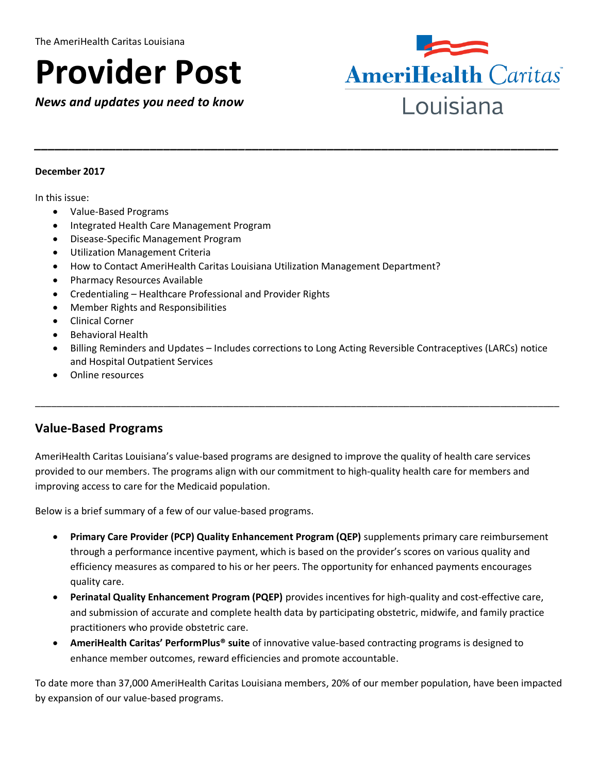# **Provider Post**

*News and updates you need to know*



#### **December 2017**

In this issue:

- Value-Based Programs
- Integrated Health Care Management Program
- Disease-Specific Management Program
- Utilization Management Criteria
- How to Contact AmeriHealth Caritas Louisiana Utilization Management Department?
- Pharmacy Resources Available
- Credentialing Healthcare Professional and Provider Rights
- Member Rights and Responsibilities
- Clinical Corner
- Behavioral Health
- Billing Reminders and Updates Includes corrections to Long Acting Reversible Contraceptives (LARCs) notice and Hospital Outpatient Services

\_\_\_\_\_\_\_\_\_\_\_\_\_\_\_\_\_\_\_\_\_\_\_\_\_\_\_\_\_\_\_\_\_\_\_\_\_\_\_\_\_\_\_\_\_\_\_\_\_\_\_\_\_\_\_\_\_\_\_\_\_\_\_\_\_\_\_\_\_\_\_\_\_\_\_\_\_\_\_\_\_\_\_\_\_\_\_\_\_\_\_\_\_\_\_\_\_\_

*\_\_\_\_\_\_\_\_\_\_\_\_\_\_\_\_\_\_\_\_\_\_\_\_\_\_\_\_\_\_\_\_\_\_\_\_\_\_\_\_\_\_\_\_\_\_\_\_\_\_\_\_\_\_\_\_\_\_\_\_\_\_\_\_\_\_\_\_\_\_\_\_\_\_\_\_\_*

• Online resources

## **Value-Based Programs**

AmeriHealth Caritas Louisiana's value-based programs are designed to improve the quality of health care services provided to our members. The programs align with our commitment to high-quality health care for members and improving access to care for the Medicaid population.

Below is a brief summary of a few of our value-based programs.

- **Primary Care Provider (PCP) Quality Enhancement Program (QEP)** supplements primary care reimbursement through a performance incentive payment, which is based on the provider's scores on various quality and efficiency measures as compared to his or her peers. The opportunity for enhanced payments encourages quality care.
- **Perinatal Quality Enhancement Program (PQEP)** provides incentives for high-quality and cost-effective care, and submission of accurate and complete health data by participating obstetric, midwife, and family practice practitioners who provide obstetric care.
- **AmeriHealth Caritas' PerformPlus® suite** of innovative value-based contracting programs is designed to enhance member outcomes, reward efficiencies and promote accountable.

To date more than 37,000 AmeriHealth Caritas Louisiana members, 20% of our member population, have been impacted by expansion of our value-based programs.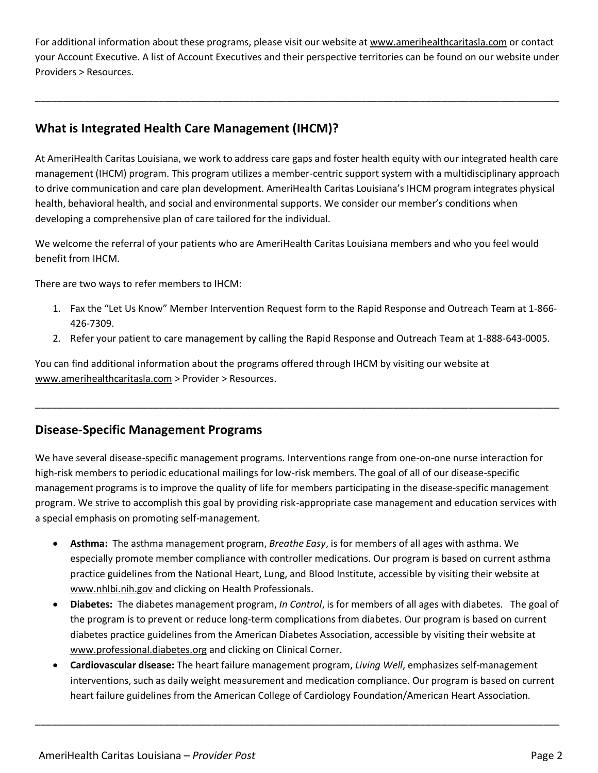For additional information about these programs, please visit our website at [www.amerihealthcaritasla.com](http://www.amerihealthcaritasla.com/) or contact your Account Executive. A list of Account Executives and their perspective territories can be found on our website under Providers > Resources.

\_\_\_\_\_\_\_\_\_\_\_\_\_\_\_\_\_\_\_\_\_\_\_\_\_\_\_\_\_\_\_\_\_\_\_\_\_\_\_\_\_\_\_\_\_\_\_\_\_\_\_\_\_\_\_\_\_\_\_\_\_\_\_\_\_\_\_\_\_\_\_\_\_\_\_\_\_\_\_\_\_\_\_\_\_\_\_\_\_\_\_\_\_\_\_\_\_\_

## **What is Integrated Health Care Management (IHCM)?**

At AmeriHealth Caritas Louisiana, we work to address care gaps and foster health equity with our integrated health care management (IHCM) program. This program utilizes a member-centric support system with a multidisciplinary approach to drive communication and care plan development. AmeriHealth Caritas Louisiana's IHCM program integrates physical health, behavioral health, and social and environmental supports. We consider our member's conditions when developing a comprehensive plan of care tailored for the individual.

We welcome the referral of your patients who are AmeriHealth Caritas Louisiana members and who you feel would benefit from IHCM.

There are two ways to refer members to IHCM:

- 1. Fax the "Let Us Know" Member Intervention Request form to the Rapid Response and Outreach Team at 1-866- 426-7309.
- 2. Refer your patient to care management by calling the Rapid Response and Outreach Team at 1-888-643-0005.

You can find additional information about the programs offered through IHCM by visiting our website at [www.amerihealthcaritasla.com](http://www.amerihealthcaritasla.com/) > Provider > Resources.

## **Disease-Specific Management Programs**

We have several disease-specific management programs. Interventions range from one-on-one nurse interaction for high-risk members to periodic educational mailings for low-risk members. The goal of all of our disease-specific management programs is to improve the quality of life for members participating in the disease-specific management program. We strive to accomplish this goal by providing risk-appropriate case management and education services with a special emphasis on promoting self-management.

\_\_\_\_\_\_\_\_\_\_\_\_\_\_\_\_\_\_\_\_\_\_\_\_\_\_\_\_\_\_\_\_\_\_\_\_\_\_\_\_\_\_\_\_\_\_\_\_\_\_\_\_\_\_\_\_\_\_\_\_\_\_\_\_\_\_\_\_\_\_\_\_\_\_\_\_\_\_\_\_\_\_\_\_\_\_\_\_\_\_\_\_\_\_\_\_\_\_

- **Asthma:** The asthma management program, *Breathe Easy*, is for members of all ages with asthma. We especially promote member compliance with controller medications. Our program is based on current asthma practice guidelines from the National Heart, Lung, and Blood Institute, accessible by visiting their website at [www.nhlbi.nih.gov](http://www.nhlbi.nih.gov/) and clicking on Health Professionals.
- **Diabetes:** The diabetes management program, *In Control*, is for members of all ages with diabetes. The goal of the program is to prevent or reduce long-term complications from diabetes. Our program is based on current diabetes practice guidelines from the American Diabetes Association, accessible by visiting their website at [www.professional.diabetes.org](http://www.professional.diabetes.org/) and clicking on Clinical Corner.
- **Cardiovascular disease:** The heart failure management program, *Living Well*, emphasizes self-management interventions, such as daily weight measurement and medication compliance. Our program is based on current heart failure guidelines from the American College of Cardiology Foundation/American Heart Association.

\_\_\_\_\_\_\_\_\_\_\_\_\_\_\_\_\_\_\_\_\_\_\_\_\_\_\_\_\_\_\_\_\_\_\_\_\_\_\_\_\_\_\_\_\_\_\_\_\_\_\_\_\_\_\_\_\_\_\_\_\_\_\_\_\_\_\_\_\_\_\_\_\_\_\_\_\_\_\_\_\_\_\_\_\_\_\_\_\_\_\_\_\_\_\_\_\_\_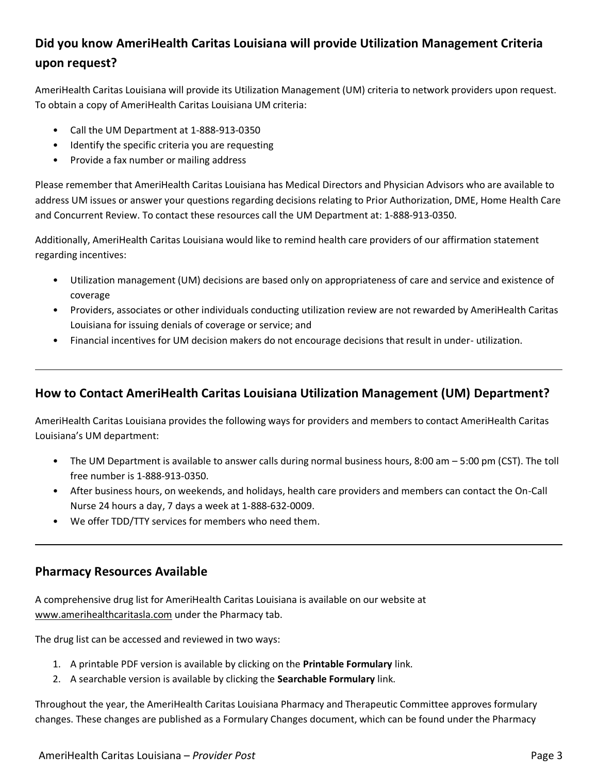## **Did you know AmeriHealth Caritas Louisiana will provide Utilization Management Criteria upon request?**

AmeriHealth Caritas Louisiana will provide its Utilization Management (UM) criteria to network providers upon request. To obtain a copy of AmeriHealth Caritas Louisiana UM criteria:

- Call the UM Department at 1-888-913-0350
- Identify the specific criteria you are requesting
- Provide a fax number or mailing address

Please remember that AmeriHealth Caritas Louisiana has Medical Directors and Physician Advisors who are available to address UM issues or answer your questions regarding decisions relating to Prior Authorization, DME, Home Health Care and Concurrent Review. To contact these resources call the UM Department at: 1-888-913-0350.

Additionally, AmeriHealth Caritas Louisiana would like to remind health care providers of our affirmation statement regarding incentives:

- Utilization management (UM) decisions are based only on appropriateness of care and service and existence of coverage
- Providers, associates or other individuals conducting utilization review are not rewarded by AmeriHealth Caritas Louisiana for issuing denials of coverage or service; and
- Financial incentives for UM decision makers do not encourage decisions that result in under- utilization.

## **How to Contact AmeriHealth Caritas Louisiana Utilization Management (UM) Department?**

AmeriHealth Caritas Louisiana provides the following ways for providers and members to contact AmeriHealth Caritas Louisiana's UM department:

- The UM Department is available to answer calls during normal business hours, 8:00 am 5:00 pm (CST). The toll free number is 1-888-913-0350.
- After business hours, on weekends, and holidays, health care providers and members can contact the On-Call Nurse 24 hours a day, 7 days a week at 1-888-632-0009.
- We offer TDD/TTY services for members who need them.

## **Pharmacy Resources Available**

A comprehensive drug list for AmeriHealth Caritas Louisiana is available on our website at [www.amerihealthcaritasla.com](http://www.amerihealthcaritasla.com/) under the Pharmacy tab.

The drug list can be accessed and reviewed in two ways:

- 1. A printable PDF version is available by clicking on the **Printable Formulary** link.
- 2. A searchable version is available by clicking the **Searchable Formulary** link.

Throughout the year, the AmeriHealth Caritas Louisiana Pharmacy and Therapeutic Committee approves formulary changes. These changes are published as a Formulary Changes document, which can be found under the Pharmacy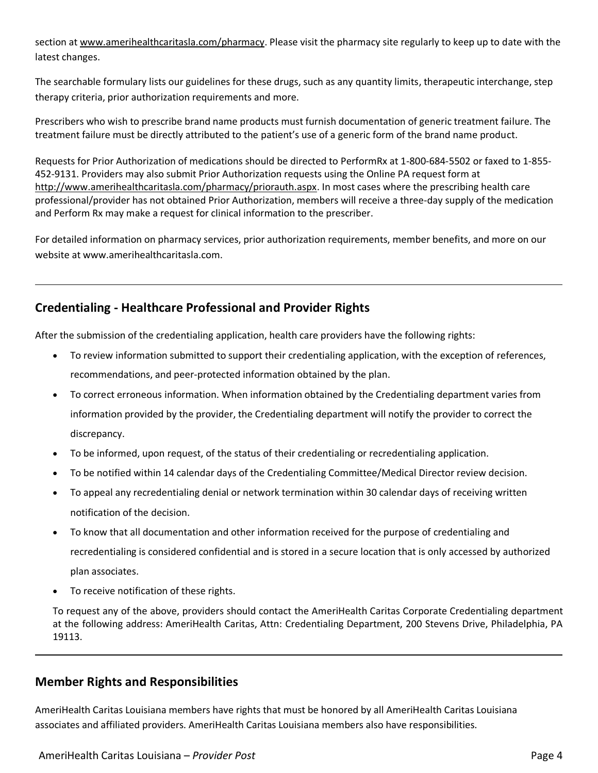section at [www.amerihealthcaritasla.com/pharmacy.](http://www.amerihealthcaritasla.com/pharmacy) Please visit the pharmacy site regularly to keep up to date with the latest changes.

The searchable formulary lists our guidelines for these drugs, such as any quantity limits, therapeutic interchange, step therapy criteria, prior authorization requirements and more.

Prescribers who wish to prescribe brand name products must furnish documentation of generic treatment failure. The treatment failure must be directly attributed to the patient's use of a generic form of the brand name product.

Requests for Prior Authorization of medications should be directed to PerformRx at 1-800-684-5502 or faxed to 1-855- 452-9131. Providers may also submit Prior Authorization requests using the Online PA request form at [http://www.amerihealthcaritasla.com/pharmacy/priorauth.aspx.](http://www.amerihealthcaritasla.com/pharmacy/priorauth.aspx) In most cases where the prescribing health care professional/provider has not obtained Prior Authorization, members will receive a three-day supply of the medication and Perform Rx may make a request for clinical information to the prescriber.

For detailed information on pharmacy services, prior authorization requirements, member benefits, and more on our website at www.amerihealthcaritasla.com.

## **Credentialing - Healthcare Professional and Provider Rights**

After the submission of the credentialing application, health care providers have the following rights:

- To review information submitted to support their credentialing application, with the exception of references, recommendations, and peer-protected information obtained by the plan.
- To correct erroneous information. When information obtained by the Credentialing department varies from information provided by the provider, the Credentialing department will notify the provider to correct the discrepancy.
- To be informed, upon request, of the status of their credentialing or recredentialing application.
- To be notified within 14 calendar days of the Credentialing Committee/Medical Director review decision.
- To appeal any recredentialing denial or network termination within 30 calendar days of receiving written notification of the decision.
- To know that all documentation and other information received for the purpose of credentialing and recredentialing is considered confidential and is stored in a secure location that is only accessed by authorized plan associates.
- To receive notification of these rights.

To request any of the above, providers should contact the AmeriHealth Caritas Corporate Credentialing department at the following address: AmeriHealth Caritas, Attn: Credentialing Department, 200 Stevens Drive, Philadelphia, PA 19113.

#### **Member Rights and Responsibilities**

AmeriHealth Caritas Louisiana members have rights that must be honored by all AmeriHealth Caritas Louisiana associates and affiliated providers. AmeriHealth Caritas Louisiana members also have responsibilities.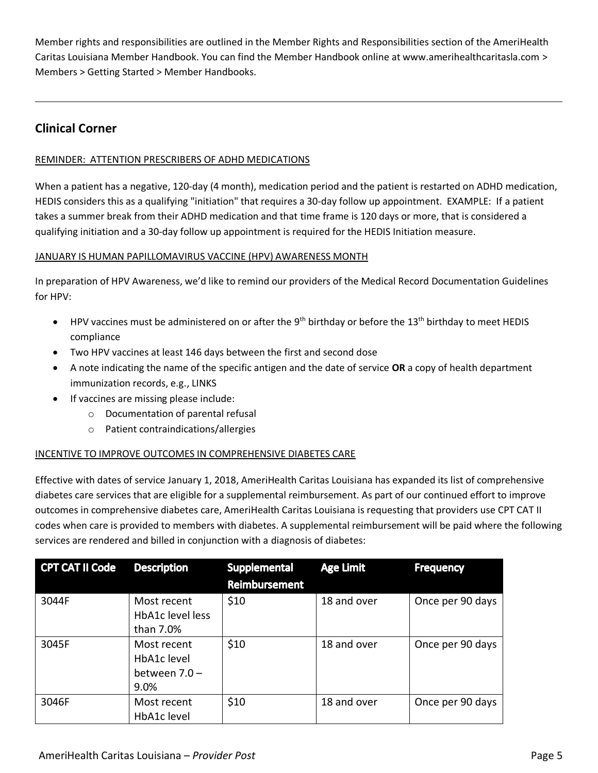Member rights and responsibilities are outlined in the Member Rights and Responsibilities section of the AmeriHealth Caritas Louisiana Member Handbook. You can find the Member Handbook online at www.amerihealthcaritasla.com > Members > Getting Started > Member Handbooks.

## **Clinical Corner**

#### REMINDER: ATTENTION PRESCRIBERS OF ADHD MEDICATIONS

When a patient has a negative, 120-day (4 month), medication period and the patient is restarted on ADHD medication, HEDIS considers this as a qualifying "initiation" that requires a 30-day follow up appointment. EXAMPLE: If a patient takes a summer break from their ADHD medication and that time frame is 120 days or more, that is considered a qualifying initiation and a 30-day follow up appointment is required for the HEDIS Initiation measure.

#### JANUARY IS HUMAN PAPILLOMAVIRUS VACCINE (HPV) AWARENESS MONTH

In preparation of HPV Awareness, we'd like to remind our providers of the Medical Record Documentation Guidelines for HPV:

- HPV vaccines must be administered on or after the  $9<sup>th</sup>$  birthday or before the  $13<sup>th</sup>$  birthday to meet HEDIS compliance
- Two HPV vaccines at least 146 days between the first and second dose
- A note indicating the name of the specific antigen and the date of service **OR** a copy of health department immunization records, e.g., LINKS
- If vaccines are missing please include:
	- o Documentation of parental refusal
	- o Patient contraindications/allergies

#### INCENTIVE TO IMPROVE OUTCOMES IN COMPREHENSIVE DIABETES CARE

Effective with dates of service January 1, 2018, AmeriHealth Caritas Louisiana has expanded its list of comprehensive diabetes care services that are eligible for a supplemental reimbursement. As part of our continued effort to improve outcomes in comprehensive diabetes care, AmeriHealth Caritas Louisiana is requesting that providers use CPT CAT II codes when care is provided to members with diabetes. A supplemental reimbursement will be paid where the following services are rendered and billed in conjunction with a diagnosis of diabetes:

| <b>CPT CAT II Code</b> | <b>Description</b>                                    | <b>Supplemental</b><br><b>Reimbursement</b> | <b>Age Limit</b> | <b>Frequency</b> |
|------------------------|-------------------------------------------------------|---------------------------------------------|------------------|------------------|
| 3044F                  | Most recent<br>HbA1c level less<br>than 7.0%          | \$10                                        | 18 and over      | Once per 90 days |
| 3045F                  | Most recent<br>HbA1c level<br>between $7.0 -$<br>9.0% | \$10                                        | 18 and over      | Once per 90 days |
| 3046F                  | Most recent<br>HbA1c level                            | \$10                                        | 18 and over      | Once per 90 days |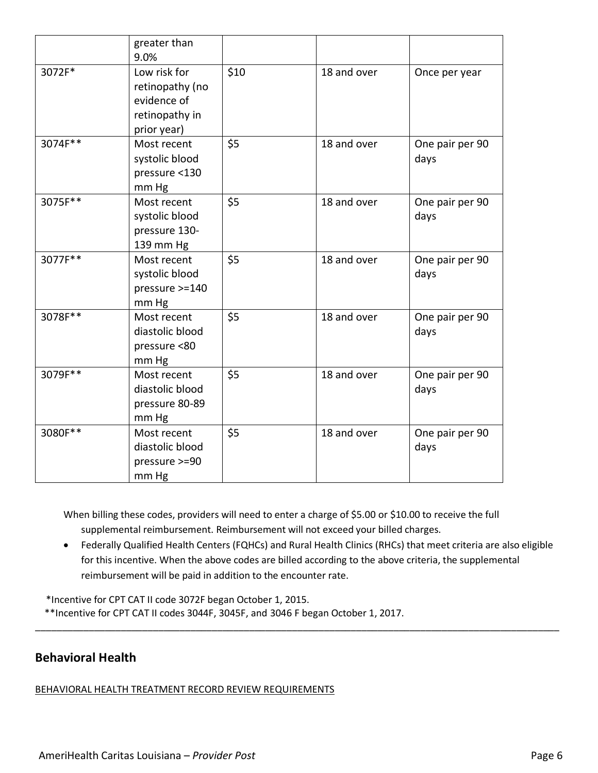|         | greater than<br>9.0%                                                            |      |             |                         |
|---------|---------------------------------------------------------------------------------|------|-------------|-------------------------|
| 3072F*  | Low risk for<br>retinopathy (no<br>evidence of<br>retinopathy in<br>prior year) | \$10 | 18 and over | Once per year           |
| 3074F** | Most recent<br>systolic blood<br>pressure <130<br>mm Hg                         | \$5  | 18 and over | One pair per 90<br>days |
| 3075F** | Most recent<br>systolic blood<br>pressure 130-<br>139 mm Hg                     | \$5  | 18 and over | One pair per 90<br>days |
| 3077F** | Most recent<br>systolic blood<br>pressure >=140<br>mm Hg                        | \$5  | 18 and over | One pair per 90<br>days |
| 3078F** | Most recent<br>diastolic blood<br>pressure <80<br>mm Hg                         | \$5  | 18 and over | One pair per 90<br>days |
| 3079F** | Most recent<br>diastolic blood<br>pressure 80-89<br>mm Hg                       | \$5  | 18 and over | One pair per 90<br>days |
| 3080F** | Most recent<br>diastolic blood<br>pressure >=90<br>mm Hg                        | \$5  | 18 and over | One pair per 90<br>days |

When billing these codes, providers will need to enter a charge of \$5.00 or \$10.00 to receive the full supplemental reimbursement. Reimbursement will not exceed your billed charges.

 Federally Qualified Health Centers (FQHCs) and Rural Health Clinics (RHCs) that meet criteria are also eligible for this incentive. When the above codes are billed according to the above criteria, the supplemental reimbursement will be paid in addition to the encounter rate.

\_\_\_\_\_\_\_\_\_\_\_\_\_\_\_\_\_\_\_\_\_\_\_\_\_\_\_\_\_\_\_\_\_\_\_\_\_\_\_\_\_\_\_\_\_\_\_\_\_\_\_\_\_\_\_\_\_\_\_\_\_\_\_\_\_\_\_\_\_\_\_\_\_\_\_\_\_\_\_\_\_\_\_\_\_\_\_\_\_\_\_\_\_\_\_\_\_\_

\*Incentive for CPT CAT II code 3072F began October 1, 2015.

\*\*Incentive for CPT CAT II codes 3044F, 3045F, and 3046 F began October 1, 2017.

## **Behavioral Health**

BEHAVIORAL HEALTH TREATMENT RECORD REVIEW REQUIREMENTS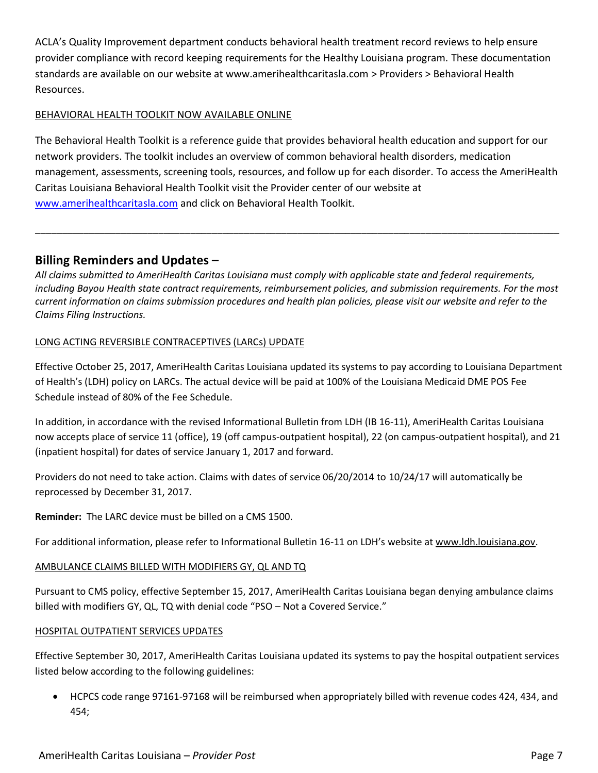ACLA's Quality Improvement department conducts behavioral health treatment record reviews to help ensure provider compliance with record keeping requirements for the Healthy Louisiana program. These documentation standards are available on our website at www.amerihealthcaritasla.com > Providers > Behavioral Health Resources.

#### BEHAVIORAL HEALTH TOOLKIT NOW AVAILABLE ONLINE

The Behavioral Health Toolkit is a reference guide that provides behavioral health education and support for our network providers. The toolkit includes an overview of common behavioral health disorders, medication management, assessments, screening tools, resources, and follow up for each disorder. To access the AmeriHealth Caritas Louisiana Behavioral Health Toolkit visit the Provider center of our website at [www.amerihealthcaritasla.com](http://www.amerihealthcaritasla.com/) and click on Behavioral Health Toolkit.

\_\_\_\_\_\_\_\_\_\_\_\_\_\_\_\_\_\_\_\_\_\_\_\_\_\_\_\_\_\_\_\_\_\_\_\_\_\_\_\_\_\_\_\_\_\_\_\_\_\_\_\_\_\_\_\_\_\_\_\_\_\_\_\_\_\_\_\_\_\_\_\_\_\_\_\_\_\_\_\_\_\_\_\_\_\_\_\_\_\_\_\_\_\_\_\_\_\_

## **Billing Reminders and Updates –**

*All claims submitted to AmeriHealth Caritas Louisiana must comply with applicable state and federal requirements, including Bayou Health state contract requirements, reimbursement policies, and submission requirements. For the most current information on claims submission procedures and health plan policies, please visit our website and refer to the Claims Filing Instructions.*

#### LONG ACTING REVERSIBLE CONTRACEPTIVES (LARCs) UPDATE

Effective October 25, 2017, AmeriHealth Caritas Louisiana updated its systems to pay according to Louisiana Department of Health's (LDH) policy on LARCs. The actual device will be paid at 100% of the Louisiana Medicaid DME POS Fee Schedule instead of 80% of the Fee Schedule.

In addition, in accordance with the revised Informational Bulletin from LDH (IB 16-11), AmeriHealth Caritas Louisiana now accepts place of service 11 (office), 19 (off campus-outpatient hospital), 22 (on campus-outpatient hospital), and 21 (inpatient hospital) for dates of service January 1, 2017 and forward.

Providers do not need to take action. Claims with dates of service 06/20/2014 to 10/24/17 will automatically be reprocessed by December 31, 2017.

**Reminder:** The LARC device must be billed on a CMS 1500.

For additional information, please refer to Informational Bulletin 16-11 on LDH's website at [www.ldh.louisiana.gov.](http://www.ldh.louisiana.gov/)

#### AMBULANCE CLAIMS BILLED WITH MODIFIERS GY, QL AND TQ

Pursuant to CMS policy, effective September 15, 2017, AmeriHealth Caritas Louisiana began denying ambulance claims billed with modifiers GY, QL, TQ with denial code "PSO - Not a Covered Service."

#### HOSPITAL OUTPATIENT SERVICES UPDATES

Effective September 30, 2017, AmeriHealth Caritas Louisiana updated its systems to pay the hospital outpatient services listed below according to the following guidelines:

 HCPCS code range 97161-97168 will be reimbursed when appropriately billed with revenue codes 424, 434, and 454;